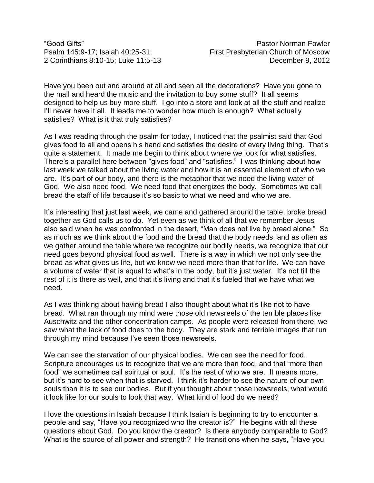Have you been out and around at all and seen all the decorations? Have you gone to the mall and heard the music and the invitation to buy some stuff? It all seems designed to help us buy more stuff. I go into a store and look at all the stuff and realize I'll never have it all. It leads me to wonder how much is enough? What actually satisfies? What is it that truly satisfies?

As I was reading through the psalm for today, I noticed that the psalmist said that God gives food to all and opens his hand and satisfies the desire of every living thing. That's quite a statement. It made me begin to think about where we look for what satisfies. There's a parallel here between "gives food" and "satisfies." I was thinking about how last week we talked about the living water and how it is an essential element of who we are. It's part of our body, and there is the metaphor that we need the living water of God. We also need food. We need food that energizes the body. Sometimes we call bread the staff of life because it's so basic to what we need and who we are.

It's interesting that just last week, we came and gathered around the table, broke bread together as God calls us to do. Yet even as we think of all that we remember Jesus also said when he was confronted in the desert, "Man does not live by bread alone." So as much as we think about the food and the bread that the body needs, and as often as we gather around the table where we recognize our bodily needs, we recognize that our need goes beyond physical food as well. There is a way in which we not only see the bread as what gives us life, but we know we need more than that for life. We can have a volume of water that is equal to what's in the body, but it's just water. It's not till the rest of it is there as well, and that it's living and that it's fueled that we have what we need.

As I was thinking about having bread I also thought about what it's like not to have bread. What ran through my mind were those old newsreels of the terrible places like Auschwitz and the other concentration camps. As people were released from there, we saw what the lack of food does to the body. They are stark and terrible images that run through my mind because I've seen those newsreels.

We can see the starvation of our physical bodies. We can see the need for food. Scripture encourages us to recognize that we are more than food, and that "more than food" we sometimes call spiritual or soul. It's the rest of who we are. It means more, but it's hard to see when that is starved. I think it's harder to see the nature of our own souls than it is to see our bodies. But if you thought about those newsreels, what would it look like for our souls to look that way. What kind of food do we need?

I love the questions in Isaiah because I think Isaiah is beginning to try to encounter a people and say, "Have you recognized who the creator is?" He begins with all these questions about God. Do you know the creator? Is there anybody comparable to God? What is the source of all power and strength? He transitions when he says, "Have you